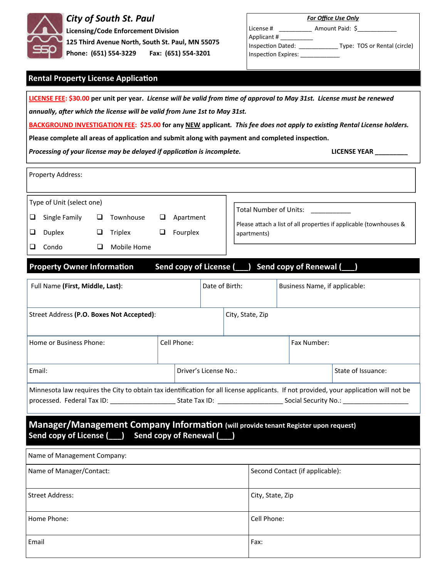

#### *City of South St. Paul*

**Licensing/Code Enforcement Division 125 Third Avenue North, South St. Paul, MN 55075 Phone: (651) 554‐3229 Fax: (651) 554‐3201**

| <b>For Office Use Only</b> |                              |  |  |
|----------------------------|------------------------------|--|--|
| License #                  | Amount Paid: \$              |  |  |
| Applicant #                |                              |  |  |
| Inspection Dated:          | Type: TOS or Rental (circle) |  |  |
| Inspection Expires:        |                              |  |  |
|                            |                              |  |  |

#### **Rental Property License ApplicaƟon**

| LICENSE FEE: \$30.00 per unit per year. License will be valid from time of approval to May 31st. License must be renewed<br>annually, after which the license will be valid from June 1st to May 31st.                                                                            |                        |                       |             |                                                                                              |                               |  |
|-----------------------------------------------------------------------------------------------------------------------------------------------------------------------------------------------------------------------------------------------------------------------------------|------------------------|-----------------------|-------------|----------------------------------------------------------------------------------------------|-------------------------------|--|
| BACKGROUND INVESTIGATION FEE: \$25.00 for any NEW applicant. This fee does not apply to existing Rental License holders.                                                                                                                                                          |                        |                       |             |                                                                                              |                               |  |
| Please complete all areas of application and submit along with payment and completed inspection.                                                                                                                                                                                  |                        |                       |             |                                                                                              |                               |  |
| Processing of your license may be delayed if application is incomplete.                                                                                                                                                                                                           |                        |                       |             |                                                                                              | <b>LICENSE YEAR</b>           |  |
| Property Address:                                                                                                                                                                                                                                                                 |                        |                       |             |                                                                                              |                               |  |
| Type of Unit (select one)                                                                                                                                                                                                                                                         |                        |                       |             |                                                                                              |                               |  |
| Townhouse<br>Single Family<br>⊔<br>⊔                                                                                                                                                                                                                                              | Apartment<br>⊔         |                       |             | Total Number of Units:<br>Please attach a list of all properties if applicable (townhouses & |                               |  |
| u<br>Duplex<br>⊔<br>Triplex                                                                                                                                                                                                                                                       | $\Box$<br>Fourplex     |                       | apartments) |                                                                                              |                               |  |
| Mobile Home<br>⊔<br>Condo<br>⊔                                                                                                                                                                                                                                                    |                        |                       |             |                                                                                              |                               |  |
| <b>Property Owner Information</b>                                                                                                                                                                                                                                                 | Send copy of License ( |                       |             | Send copy of Renewal (___)                                                                   |                               |  |
| Full Name (First, Middle, Last):                                                                                                                                                                                                                                                  |                        | Date of Birth:        |             |                                                                                              | Business Name, if applicable: |  |
| Street Address (P.O. Boxes Not Accepted):<br>City, State, Zip                                                                                                                                                                                                                     |                        |                       |             |                                                                                              |                               |  |
| Home or Business Phone:                                                                                                                                                                                                                                                           | Cell Phone:            |                       |             | Fax Number:                                                                                  |                               |  |
| Email:                                                                                                                                                                                                                                                                            |                        | Driver's License No.: |             |                                                                                              | State of Issuance:            |  |
| Minnesota law requires the City to obtain tax identification for all license applicants. If not provided, your application will not be<br>processed. Federal Tax ID: __________________________State Tax ID: _________________________Social Security No.: ______________________ |                        |                       |             |                                                                                              |                               |  |
| Manager/Management Company Information (will provide tenant Register upon request)<br>Send copy of License (___) Send copy of Renewal (___)                                                                                                                                       |                        |                       |             |                                                                                              |                               |  |
| Name of Management Company:                                                                                                                                                                                                                                                       |                        |                       |             |                                                                                              |                               |  |
| Name of Manager/Contact:                                                                                                                                                                                                                                                          |                        |                       |             | Second Contact (if applicable):                                                              |                               |  |
| <b>Street Address:</b>                                                                                                                                                                                                                                                            |                        |                       |             | City, State, Zip                                                                             |                               |  |
| Home Phone:                                                                                                                                                                                                                                                                       |                        |                       | Cell Phone: |                                                                                              |                               |  |
| Email                                                                                                                                                                                                                                                                             |                        |                       | Fax:        |                                                                                              |                               |  |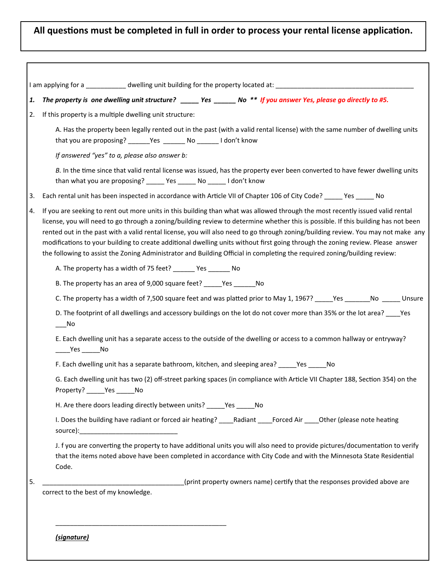#### **All quesƟons must be completed in full in order to process your rental license applicaƟon.**

| 1. | The property is one dwelling unit structure? _____ Yes ______ No ** If you answer Yes, please go directly to #5.                                                                                                                                                                                                                                                                                                                                                                                                                                                                                                                                                          |
|----|---------------------------------------------------------------------------------------------------------------------------------------------------------------------------------------------------------------------------------------------------------------------------------------------------------------------------------------------------------------------------------------------------------------------------------------------------------------------------------------------------------------------------------------------------------------------------------------------------------------------------------------------------------------------------|
| 2. | If this property is a multiple dwelling unit structure:                                                                                                                                                                                                                                                                                                                                                                                                                                                                                                                                                                                                                   |
|    | A. Has the property been legally rented out in the past (with a valid rental license) with the same number of dwelling units<br>that you are proposing? _______Yes ________ No _______ I don't know                                                                                                                                                                                                                                                                                                                                                                                                                                                                       |
|    | If answered "yes" to a, please also answer b:                                                                                                                                                                                                                                                                                                                                                                                                                                                                                                                                                                                                                             |
|    | B. In the time since that valid rental license was issued, has the property ever been converted to have fewer dwelling units<br>than what you are proposing? ______ Yes ______ No ______ I don't know                                                                                                                                                                                                                                                                                                                                                                                                                                                                     |
| 3. | Each rental unit has been inspected in accordance with Article VII of Chapter 106 of City Code? _____ Yes _____ No                                                                                                                                                                                                                                                                                                                                                                                                                                                                                                                                                        |
| 4. | If you are seeking to rent out more units in this building than what was allowed through the most recently issued valid rental<br>license, you will need to go through a zoning/building review to determine whether this is possible. If this building has not been<br>rented out in the past with a valid rental license, you will also need to go through zoning/building review. You may not make any<br>modifications to your building to create additional dwelling units without first going through the zoning review. Please answer<br>the following to assist the Zoning Administrator and Building Official in completing the required zoning/building review: |
|    | A. The property has a width of 75 feet? _______ Yes _______ No                                                                                                                                                                                                                                                                                                                                                                                                                                                                                                                                                                                                            |
|    | B. The property has an area of 9,000 square feet? ______ Yes _______ No                                                                                                                                                                                                                                                                                                                                                                                                                                                                                                                                                                                                   |
|    | C. The property has a width of 7,500 square feet and was platted prior to May 1, 1967? _____Yes _______No ______ Unsure                                                                                                                                                                                                                                                                                                                                                                                                                                                                                                                                                   |
|    | D. The footprint of all dwellings and accessory buildings on the lot do not cover more than 35% or the lot area? _____ Yes<br>$\sqrt{N}$                                                                                                                                                                                                                                                                                                                                                                                                                                                                                                                                  |
|    | E. Each dwelling unit has a separate access to the outside of the dwelling or access to a common hallway or entryway?<br>$\rule{1em}{0.15mm}$ Yes _________ No                                                                                                                                                                                                                                                                                                                                                                                                                                                                                                            |
|    | F. Each dwelling unit has a separate bathroom, kitchen, and sleeping area? ______Yes ______No                                                                                                                                                                                                                                                                                                                                                                                                                                                                                                                                                                             |
|    | G. Each dwelling unit has two (2) off-street parking spaces (in compliance with Article VII Chapter 188, Section 354) on the<br>Property? ______ Yes ______ No                                                                                                                                                                                                                                                                                                                                                                                                                                                                                                            |
|    | H. Are there doors leading directly between units? _____Yes _____No                                                                                                                                                                                                                                                                                                                                                                                                                                                                                                                                                                                                       |
|    | I. Does the building have radiant or forced air heating? _____Radiant _____Forced Air _____Other (please note heating                                                                                                                                                                                                                                                                                                                                                                                                                                                                                                                                                     |
|    | J. f you are converting the property to have additional units you will also need to provide pictures/documentation to verify<br>that the items noted above have been completed in accordance with City Code and with the Minnesota State Residential<br>Code.                                                                                                                                                                                                                                                                                                                                                                                                             |
| 5. | (print property owners name) certify that the responses provided above are                                                                                                                                                                                                                                                                                                                                                                                                                                                                                                                                                                                                |
|    | correct to the best of my knowledge.                                                                                                                                                                                                                                                                                                                                                                                                                                                                                                                                                                                                                                      |

 *(signature)*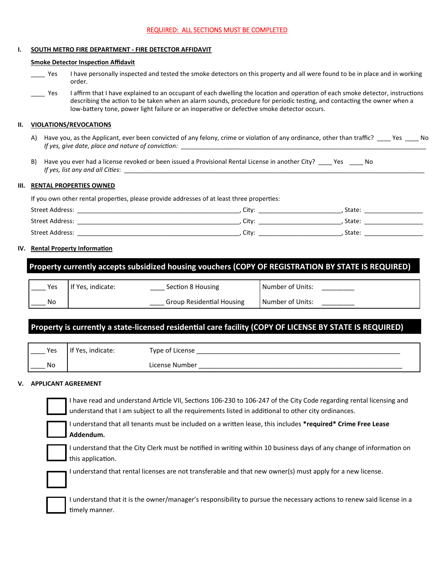#### REQUIRED: ALL SECTIONS MUST BE COMPLETED

#### **I. SOUTH METRO FIRE DEPARTMENT ‐ FIRE DETECTOR AFFIDAVIT**

#### **Smoke Detector InspecƟon Affidavit**

- \_\_\_\_ Yes I have personally inspected and tested the smoke detectors on this property and all were found to be in place and in working order.
- Laffirm that I have explained to an occupant of each dwelling the location and operation of each smoke detector, instructions describing the action to be taken when an alarm sounds, procedure for periodic testing, and contacting the owner when a low-battery tone, power light failure or an inoperative or defective smoke detector occurs.

#### **II. VIOLATIONS/REVOCATIONS**

- A) Have you, as the Applicant, ever been convicted of any felony, crime or violation of any ordinance, other than traffic? Yes No *If yes, give date, place and nature of conviction:* \_
- B) Have you ever had a license revoked or been issued a Provisional Rental License in another City? \_\_\_\_ Yes \_\_\_\_ No *If yes, list any and all Cities:*

#### **III. RENTAL PROPERTIES OWNED**

If you own other rental properties, please provide addresses of at least three properties:

| Street Address: | City              | State: |  |
|-----------------|-------------------|--------|--|
| Street Address: | City              | State: |  |
| Street Address: | City <sup>-</sup> | State: |  |

#### **IV.** Rental Property Information

#### **Property currently accepts subsidized housing vouchers (COPY OF REGISTRATION BY STATE IS REQUIRED)**

| Yes | If Yes, indicate: | Section 8 Housing                | Number of Units: |
|-----|-------------------|----------------------------------|------------------|
| No  |                   | <b>Group Residential Housing</b> | Number of Units: |

#### Property is currently a state-licensed residential care facility (COPY OF LICENSE BY STATE IS REQUIRED)

| Yes | `Yes, indicate: \ | Type of License |
|-----|-------------------|-----------------|
| No  |                   | License Number  |

#### **V. APPLICANT AGREEMENT**

| I have read and understand Article VII, Sections 106-230 to 106-247 of the City Code regarding rental licensing and |
|---------------------------------------------------------------------------------------------------------------------|
| ■ understand that I am subject to all the requirements listed in additional to other city ordinances.               |

I understand that all tenants must be included on a written lease, this includes \*required\* Crime Free Lease **Addendum.**

I understand that the City Clerk must be notified in writing within 10 business days of any change of information on this application.

I understand that rental licenses are not transferable and that new owner(s) must apply for a new license.

I understand that it is the owner/manager's responsibility to pursue the necessary actions to renew said license in a timely manner.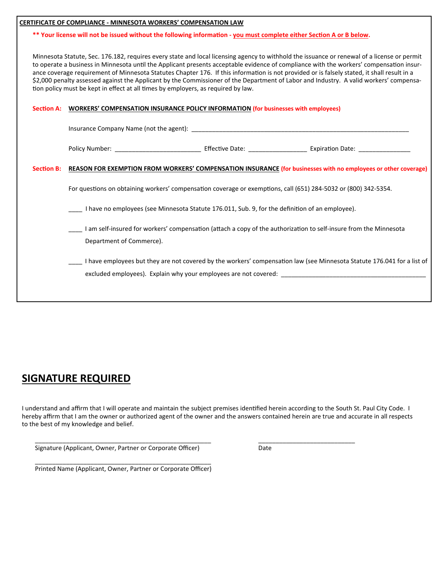|                   | <b>CERTIFICATE OF COMPLIANCE - MINNESOTA WORKERS' COMPENSATION LAW</b>                                                                                                                                                                                                                                                                                                                                                                                                                                                                                                                                                                                               |
|-------------------|----------------------------------------------------------------------------------------------------------------------------------------------------------------------------------------------------------------------------------------------------------------------------------------------------------------------------------------------------------------------------------------------------------------------------------------------------------------------------------------------------------------------------------------------------------------------------------------------------------------------------------------------------------------------|
|                   | ** Your license will not be issued without the following information - you must complete either Section A or B below.                                                                                                                                                                                                                                                                                                                                                                                                                                                                                                                                                |
|                   | Minnesota Statute, Sec. 176.182, requires every state and local licensing agency to withhold the issuance or renewal of a license or permit<br>to operate a business in Minnesota until the Applicant presents acceptable evidence of compliance with the workers' compensation insur-<br>ance coverage requirement of Minnesota Statutes Chapter 176. If this information is not provided or is falsely stated, it shall result in a<br>\$2,000 penalty assessed against the Applicant by the Commissioner of the Department of Labor and Industry. A valid workers' compensa-<br>tion policy must be kept in effect at all times by employers, as required by law. |
| <b>Section A:</b> | <b>WORKERS' COMPENSATION INSURANCE POLICY INFORMATION (for businesses with employees)</b>                                                                                                                                                                                                                                                                                                                                                                                                                                                                                                                                                                            |
|                   |                                                                                                                                                                                                                                                                                                                                                                                                                                                                                                                                                                                                                                                                      |
|                   |                                                                                                                                                                                                                                                                                                                                                                                                                                                                                                                                                                                                                                                                      |
| <b>Section B:</b> | REASON FOR EXEMPTION FROM WORKERS' COMPENSATION INSURANCE (for businesses with no employees or other coverage)                                                                                                                                                                                                                                                                                                                                                                                                                                                                                                                                                       |
|                   | For questions on obtaining workers' compensation coverage or exemptions, call (651) 284-5032 or (800) 342-5354.                                                                                                                                                                                                                                                                                                                                                                                                                                                                                                                                                      |
|                   | I have no employees (see Minnesota Statute 176.011, Sub. 9, for the definition of an employee).                                                                                                                                                                                                                                                                                                                                                                                                                                                                                                                                                                      |
|                   | I am self-insured for workers' compensation (attach a copy of the authorization to self-insure from the Minnesota<br>Department of Commerce).                                                                                                                                                                                                                                                                                                                                                                                                                                                                                                                        |
|                   | I have employees but they are not covered by the workers' compensation law (see Minnesota Statute 176.041 for a list of<br>excluded employees). Explain why your employees are not covered: __________________________________                                                                                                                                                                                                                                                                                                                                                                                                                                       |
|                   |                                                                                                                                                                                                                                                                                                                                                                                                                                                                                                                                                                                                                                                                      |

#### **SIGNATURE REQUIRED**

I understand and affirm that I will operate and maintain the subject premises identified herein according to the South St. Paul City Code. I hereby affirm that I am the owner or authorized agent of the owner and the answers contained herein are true and accurate in all respects to the best of my knowledge and belief.

 \_\_\_\_\_\_\_\_\_\_\_\_\_\_\_\_\_\_\_\_\_\_\_\_\_\_\_\_\_\_\_\_\_\_\_\_\_\_\_\_\_\_\_\_\_\_\_\_\_\_\_ \_\_\_\_\_\_\_\_\_\_\_\_\_\_\_\_\_\_\_\_\_\_\_\_\_\_\_\_ Signature (Applicant, Owner, Partner or Corporate Officer) Date

 \_\_\_\_\_\_\_\_\_\_\_\_\_\_\_\_\_\_\_\_\_\_\_\_\_\_\_\_\_\_\_\_\_\_\_\_\_\_\_\_\_\_\_\_\_\_\_\_\_\_\_ Printed Name (Applicant, Owner, Partner or Corporate Officer)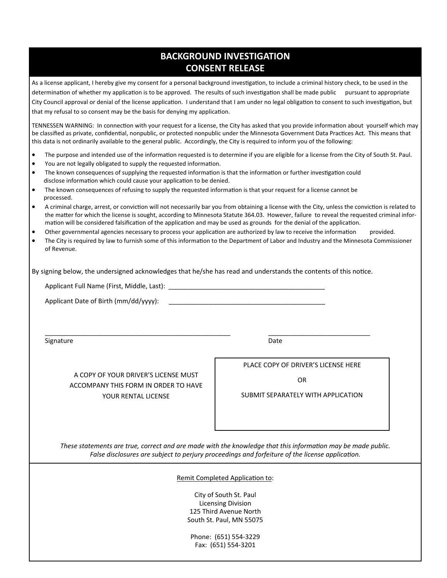#### **BACKGROUND INVESTIGATION CONSENT RELEASE**

As a license applicant, I hereby give my consent for a personal background investigation, to include a criminal history check, to be used in the determination of whether my application is to be approved. The results of such investigation shall be made public pursuant to appropriate City Council approval or denial of the license application. I understand that I am under no legal obligation to consent to such investigation, but that my refusal to so consent may be the basis for denying my application.

TENNESSEN WARNING: In connection with your request for a license, the City has asked that you provide information about yourself which may be classified as private, confidential, nonpublic, or protected nonpublic under the Minnesota Government Data Practices Act. This means that this data is not ordinarily available to the general public. Accordingly, the City is required to inform you of the following:

- The purpose and intended use of the information requested is to determine if you are eligible for a license from the City of South St. Paul.
- You are not legally obligated to supply the requested information.
- The known consequences of supplying the requested information is that the information or further investigation could disclose information which could cause your application to be denied.
- The known consequences of refusing to supply the requested information is that your request for a license cannot be processed.
- A criminal charge, arrest, or conviction will not necessarily bar you from obtaining a license with the City, unless the conviction is related to the matter for which the license is sought, according to Minnesota Statute 364.03. However, failure to reveal the requested criminal information will be considered falsification of the application and may be used as grounds for the denial of the application.
- Other governmental agencies necessary to process your application are authorized by law to receive the information provided.
- The City is required by law to furnish some of this information to the Department of Labor and Industry and the Minnesota Commissioner of Revenue.

By signing below, the undersigned acknowledges that he/she has read and understands the contents of this notice.

 $\overline{\phantom{a}}$  , and the contribution of the contribution of the contribution of the contribution of the contribution of the contribution of the contribution of the contribution of the contribution of the contribution of the

Applicant Full Name (First, Middle, Last):

Applicant Date of Birth (mm/dd/yyyy): \_\_\_\_\_\_\_\_\_\_\_\_\_\_\_\_\_\_\_\_\_\_\_\_\_\_\_\_\_\_\_\_\_\_\_\_\_\_\_\_\_\_\_

Signature Date **Date** 

A COPY OF YOUR DRIVER'S LICENSE MUST ACCOMPANY THIS FORM IN ORDER TO HAVE YOUR RENTAL LICENSE

PLACE COPY OF DRIVER'S LICENSE HERE

OR

SUBMIT SEPARATELY WITH APPLICATION

*These statements are true, correct and are made with the knowledge that this information may be made public. False disclosures are subject to perjury proceedings and forfeiture of the license application.* 

Remit Completed Application to:

City of South St. Paul Licensing Division 125 Third Avenue North South St. Paul, MN 55075

Phone: (651) 554‐3229 Fax: (651) 554‐3201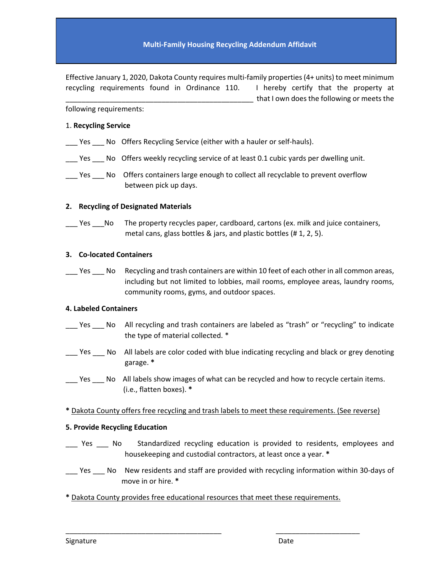Effective January 1, 2020, Dakota County requires multi‐family properties(4+ units) to meet minimum recycling requirements found in Ordinance 110. I hereby certify that the property at \_\_\_\_\_\_\_\_\_\_\_\_\_\_\_\_\_\_\_\_\_\_\_\_\_\_\_\_\_\_\_\_\_\_\_\_\_\_\_\_\_\_\_\_\_\_\_ that I own does the following or meets the

following requirements:

#### 1. **Recycling Service**

- \_\_\_ Yes \_\_\_ No Offers Recycling Service (either with a hauler or self‐hauls).
- \_\_\_ Yes \_\_\_ No Offers weekly recycling service of at least 0.1 cubic yards per dwelling unit.
- \_\_\_ Yes \_\_\_ No Offers containers large enough to collect all recyclable to prevent overflow between pick up days.

#### **2. Recycling of Designated Materials**

Les Land The property recycles paper, cardboard, cartons (ex. milk and juice containers, metal cans, glass bottles & jars, and plastic bottles (# 1, 2, 5).

#### **3. Co‐located Containers**

\_\_\_ Yes \_\_\_ No Recycling and trash containers are within 10 feet of each other in all common areas, including but not limited to lobbies, mail rooms, employee areas, laundry rooms, community rooms, gyms, and outdoor spaces.

#### **4. Labeled Containers**

- Yes \_\_\_ No All recycling and trash containers are labeled as "trash" or "recycling" to indicate the type of material collected. \*
- \_\_\_ Yes \_\_\_ No All labels are color coded with blue indicating recycling and black or grey denoting garage. **\***
- \_\_\_ Yes \_\_\_ No All labels show images of what can be recycled and how to recycle certain items. (i.e., flatten boxes). **\***
- **\*** Dakota County offers free recycling and trash labels to meet these requirements. (See reverse)

#### **5. Provide Recycling Education**

- \_\_\_ Yes \_\_\_ No Standardized recycling education is provided to residents, employees and housekeeping and custodial contractors, at least once a year. **\***
- \_\_\_ Yes \_\_\_ No New residents and staff are provided with recycling information within 30-days of move in or hire. **\***
- **\*** Dakota County provides free educational resources that meet these requirements.

\_\_\_\_\_\_\_\_\_\_\_\_\_\_\_\_\_\_\_\_\_\_\_\_\_\_\_\_\_\_\_\_\_\_\_\_\_\_\_ \_\_\_\_\_\_\_\_\_\_\_\_\_\_\_\_\_\_\_\_\_